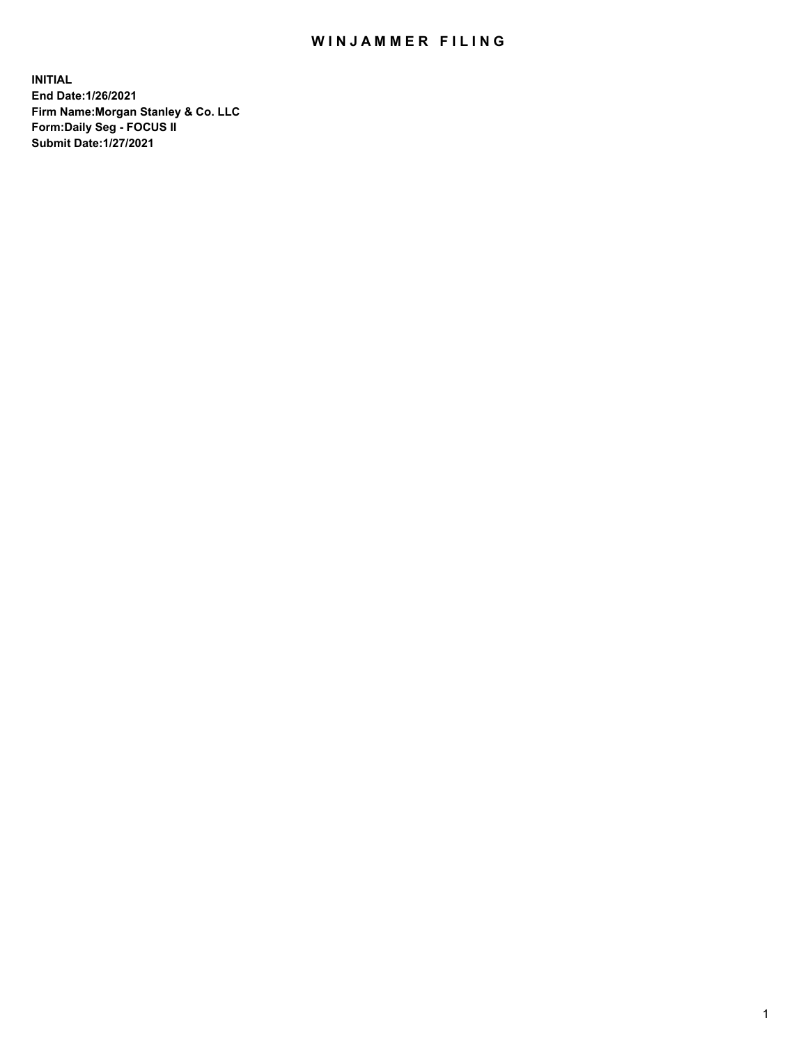## WIN JAMMER FILING

**INITIAL End Date:1/26/2021 Firm Name:Morgan Stanley & Co. LLC Form:Daily Seg - FOCUS II Submit Date:1/27/2021**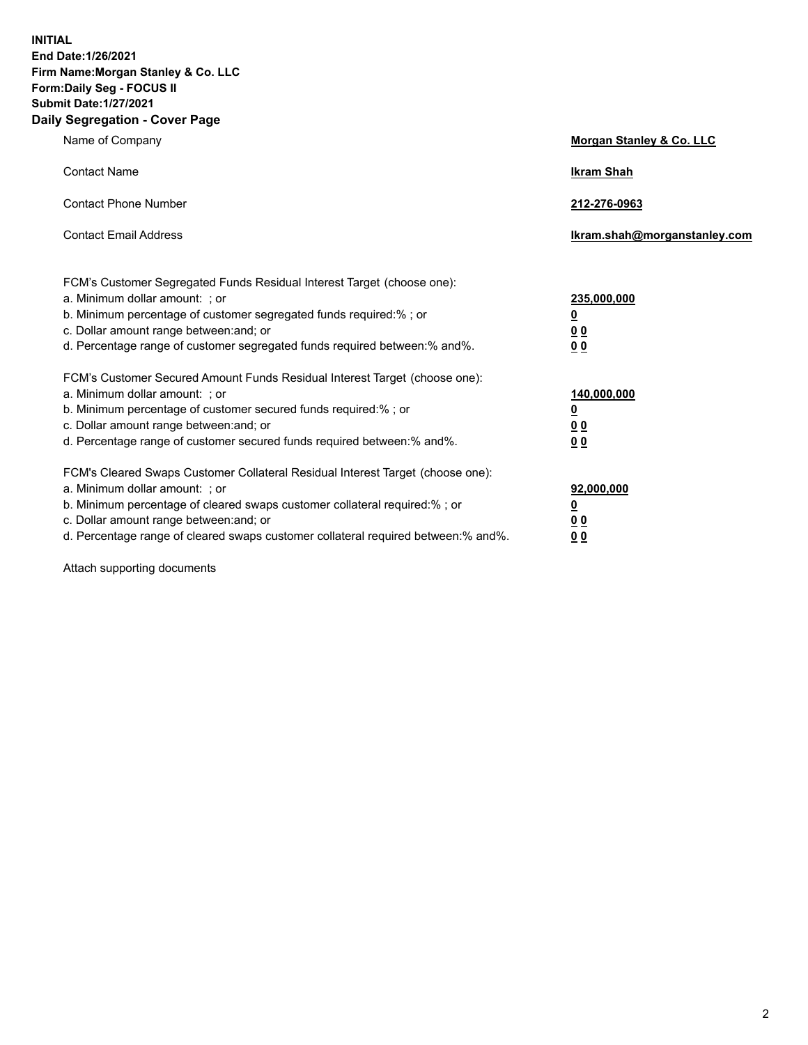**INITIAL End Date:1/26/2021 Firm Name:Morgan Stanley & Co. LLC Form:Daily Seg - FOCUS II Submit Date:1/27/2021 Daily Segregation - Cover Page**

| Name of Company                                                                                                                                                                                                                                                                                                                | <b>Morgan Stanley &amp; Co. LLC</b>                    |
|--------------------------------------------------------------------------------------------------------------------------------------------------------------------------------------------------------------------------------------------------------------------------------------------------------------------------------|--------------------------------------------------------|
| <b>Contact Name</b>                                                                                                                                                                                                                                                                                                            | <b>Ikram Shah</b>                                      |
| <b>Contact Phone Number</b>                                                                                                                                                                                                                                                                                                    | 212-276-0963                                           |
| <b>Contact Email Address</b>                                                                                                                                                                                                                                                                                                   | Ikram.shah@morganstanley.com                           |
| FCM's Customer Segregated Funds Residual Interest Target (choose one):<br>a. Minimum dollar amount: : or<br>b. Minimum percentage of customer segregated funds required:%; or<br>c. Dollar amount range between: and; or<br>d. Percentage range of customer segregated funds required between:% and%.                          | 235,000,000<br><u>0</u><br><u>00</u><br><u>00</u>      |
| FCM's Customer Secured Amount Funds Residual Interest Target (choose one):<br>a. Minimum dollar amount: ; or<br>b. Minimum percentage of customer secured funds required:%; or<br>c. Dollar amount range between: and; or<br>d. Percentage range of customer secured funds required between:% and%.                            | 140,000,000<br><u>0</u><br><u>00</u><br>0 <sub>0</sub> |
| FCM's Cleared Swaps Customer Collateral Residual Interest Target (choose one):<br>a. Minimum dollar amount: ; or<br>b. Minimum percentage of cleared swaps customer collateral required:% ; or<br>c. Dollar amount range between: and; or<br>d. Percentage range of cleared swaps customer collateral required between:% and%. | 92,000,000<br><u>0</u><br><u>00</u><br>00              |

Attach supporting documents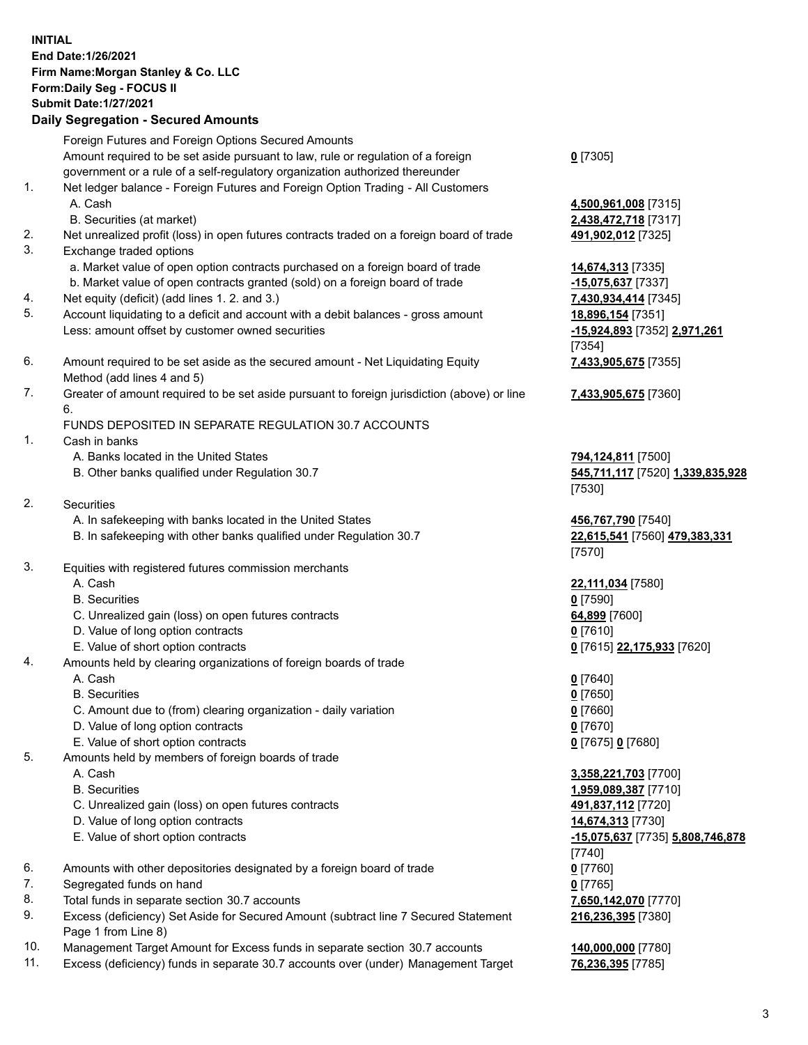## **INITIAL End Date:1/26/2021 Firm Name:Morgan Stanley & Co. LLC Form:Daily Seg - FOCUS II Submit Date:1/27/2021**

## **Daily Segregation - Secured Amounts**

Foreign Futures and Foreign Options Secured Amounts Amount required to be set aside pursuant to law, rule or regulation of a foreign government or a rule of a self-regulatory organization authorized thereunder 1. Net ledger balance - Foreign Futures and Foreign Option Trading - All Customers A. Cash **4,500,961,008** [7315] B. Securities (at market) **2,438,472,718** [7317] 2. Net unrealized profit (loss) in open futures contracts traded on a foreign board of trade **491,902,012** [7325] 3. Exchange traded options a. Market value of open option contracts purchased on a foreign board of trade **14,674,313** [7335] b. Market value of open contracts granted (sold) on a foreign board of trade **-15,075,637** [7337] 4. Net equity (deficit) (add lines 1. 2. and 3.) **7,430,934,414** [7345] 5. Account liquidating to a deficit and account with a debit balances - gross amount **18,896,154** [7351] Less: amount offset by customer owned securities **-15,924,893** [7352] **2,971,261** 6. Amount required to be set aside as the secured amount - Net Liquidating Equity Method (add lines 4 and 5) 7. Greater of amount required to be set aside pursuant to foreign jurisdiction (above) or line 6. FUNDS DEPOSITED IN SEPARATE REGULATION 30.7 ACCOUNTS 1. Cash in banks A. Banks located in the United States **794,124,811** [7500] B. Other banks qualified under Regulation 30.7 **545,711,117** [7520] **1,339,835,928** 2. Securities A. In safekeeping with banks located in the United States **456,767,790** [7540] B. In safekeeping with other banks qualified under Regulation 30.7 **22,615,541** [7560] **479,383,331** 3. Equities with registered futures commission merchants

- 
- B. Securities **0** [7590]
- C. Unrealized gain (loss) on open futures contracts **64,899** [7600]
- D. Value of long option contracts **0** [7610]
- E. Value of short option contracts **0** [7615] **22,175,933** [7620]
- 4. Amounts held by clearing organizations of foreign boards of trade
	- A. Cash **0** [7640]
	- B. Securities **0** [7650]
	- C. Amount due to (from) clearing organization daily variation **0** [7660]
	- D. Value of long option contracts **0** [7670]
	- E. Value of short option contracts **0** [7675] **0** [7680]
- 5. Amounts held by members of foreign boards of trade
	-
	-
	- C. Unrealized gain (loss) on open futures contracts **491,837,112** [7720]
	- D. Value of long option contracts **14,674,313** [7730]
	-
- 6. Amounts with other depositories designated by a foreign board of trade **0** [7760]
- 7. Segregated funds on hand **0** [7765]
- 8. Total funds in separate section 30.7 accounts **7,650,142,070** [7770]
- 9. Excess (deficiency) Set Aside for Secured Amount (subtract line 7 Secured Statement Page 1 from Line 8)
- 10. Management Target Amount for Excess funds in separate section 30.7 accounts **140,000,000** [7780]
- 11. Excess (deficiency) funds in separate 30.7 accounts over (under) Management Target **76,236,395** [7785]

**0** [7305]

[7354] **7,433,905,675** [7355]

**7,433,905,675** [7360]

[7530]

[7570]

A. Cash **22,111,034** [7580]

 A. Cash **3,358,221,703** [7700] B. Securities **1,959,089,387** [7710] E. Value of short option contracts **-15,075,637** [7735] **5,808,746,878** [7740] **216,236,395** [7380]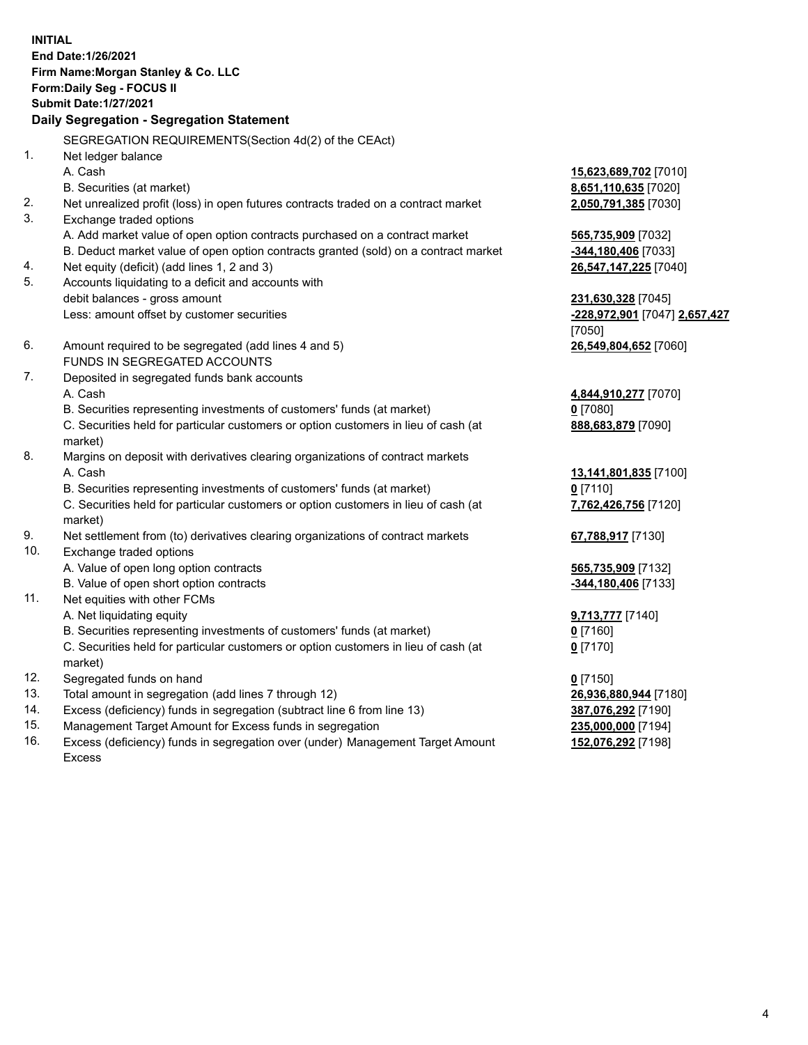**INITIAL End Date:1/26/2021 Firm Name:Morgan Stanley & Co. LLC Form:Daily Seg - FOCUS II Submit Date:1/27/2021 Daily Segregation - Segregation Statement** SEGREGATION REQUIREMENTS(Section 4d(2) of the CEAct) 1. Net ledger balance A. Cash **15,623,689,702** [7010] B. Securities (at market) **8,651,110,635** [7020] 2. Net unrealized profit (loss) in open futures contracts traded on a contract market **2,050,791,385** [7030] 3. Exchange traded options A. Add market value of open option contracts purchased on a contract market **565,735,909** [7032] B. Deduct market value of open option contracts granted (sold) on a contract market **-344,180,406** [7033] 4. Net equity (deficit) (add lines 1, 2 and 3) **26,547,147,225** [7040] 5. Accounts liquidating to a deficit and accounts with debit balances - gross amount **231,630,328** [7045] Less: amount offset by customer securities **-228,972,901** [7047] **2,657,427** [7050] 6. Amount required to be segregated (add lines 4 and 5) **26,549,804,652** [7060] FUNDS IN SEGREGATED ACCOUNTS 7. Deposited in segregated funds bank accounts A. Cash **4,844,910,277** [7070] B. Securities representing investments of customers' funds (at market) **0** [7080] C. Securities held for particular customers or option customers in lieu of cash (at market) **888,683,879** [7090] 8. Margins on deposit with derivatives clearing organizations of contract markets A. Cash **13,141,801,835** [7100] B. Securities representing investments of customers' funds (at market) **0** [7110] C. Securities held for particular customers or option customers in lieu of cash (at market) **7,762,426,756** [7120] 9. Net settlement from (to) derivatives clearing organizations of contract markets **67,788,917** [7130] 10. Exchange traded options A. Value of open long option contracts **565,735,909** [7132] B. Value of open short option contracts **-344,180,406** [7133] 11. Net equities with other FCMs A. Net liquidating equity **9,713,777** [7140] B. Securities representing investments of customers' funds (at market) **0** [7160] C. Securities held for particular customers or option customers in lieu of cash (at market) **0** [7170] 12. Segregated funds on hand **0** [7150] 13. Total amount in segregation (add lines 7 through 12) **26,936,880,944** [7180] 14. Excess (deficiency) funds in segregation (subtract line 6 from line 13) **387,076,292** [7190] 15. Management Target Amount for Excess funds in segregation **235,000,000** [7194]

16. Excess (deficiency) funds in segregation over (under) Management Target Amount Excess

**152,076,292** [7198]